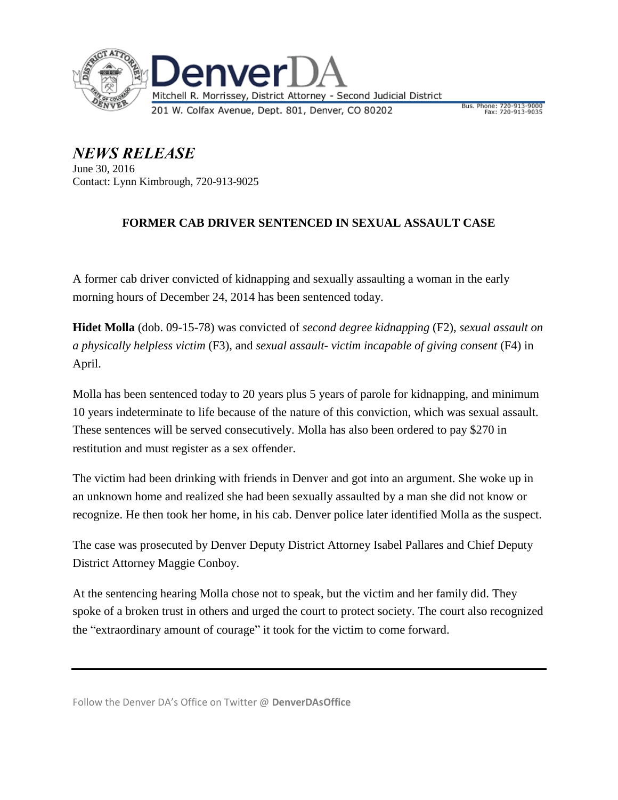

*NEWS RELEASE* June 30, 2016 Contact: Lynn Kimbrough, 720-913-9025

## **FORMER CAB DRIVER SENTENCED IN SEXUAL ASSAULT CASE**

A former cab driver convicted of kidnapping and sexually assaulting a woman in the early morning hours of December 24, 2014 has been sentenced today.

**Hidet Molla** (dob. 09-15-78) was convicted of *second degree kidnapping* (F2), *sexual assault on a physically helpless victim* (F3), and *sexual assault- victim incapable of giving consent* (F4) in April.

Molla has been sentenced today to 20 years plus 5 years of parole for kidnapping, and minimum 10 years indeterminate to life because of the nature of this conviction, which was sexual assault. These sentences will be served consecutively. Molla has also been ordered to pay \$270 in restitution and must register as a sex offender.

The victim had been drinking with friends in Denver and got into an argument. She woke up in an unknown home and realized she had been sexually assaulted by a man she did not know or recognize. He then took her home, in his cab. Denver police later identified Molla as the suspect.

The case was prosecuted by Denver Deputy District Attorney Isabel Pallares and Chief Deputy District Attorney Maggie Conboy.

At the sentencing hearing Molla chose not to speak, but the victim and her family did. They spoke of a broken trust in others and urged the court to protect society. The court also recognized the "extraordinary amount of courage" it took for the victim to come forward.